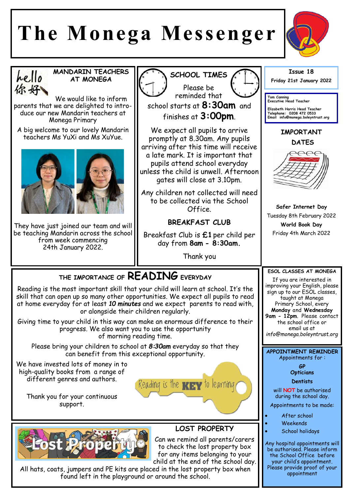# **The Monega Messenger**





**MANDARIN TEACHERS AT MONEGA** 

We would like to inform parents that we are delighted to introduce our new Mandarin teachers at Monega Primary

A big welcome to our lovely Mandarin teachers Ms YuXi and Ms XuYue.



They have just joined our team and will be teaching Mandarin across the school from week commencing 24th January 2022.



Can we remind all parents/carers to check the lost property box for any items belonging to your child at the end of the school day.

All hats, coats, jumpers and PE kits are placed in the lost property box when found left in the playground or around the school.



Any hospital appointments will be authorised. Please inform the School Office before your child's appointment. Please provide proof of your appointment